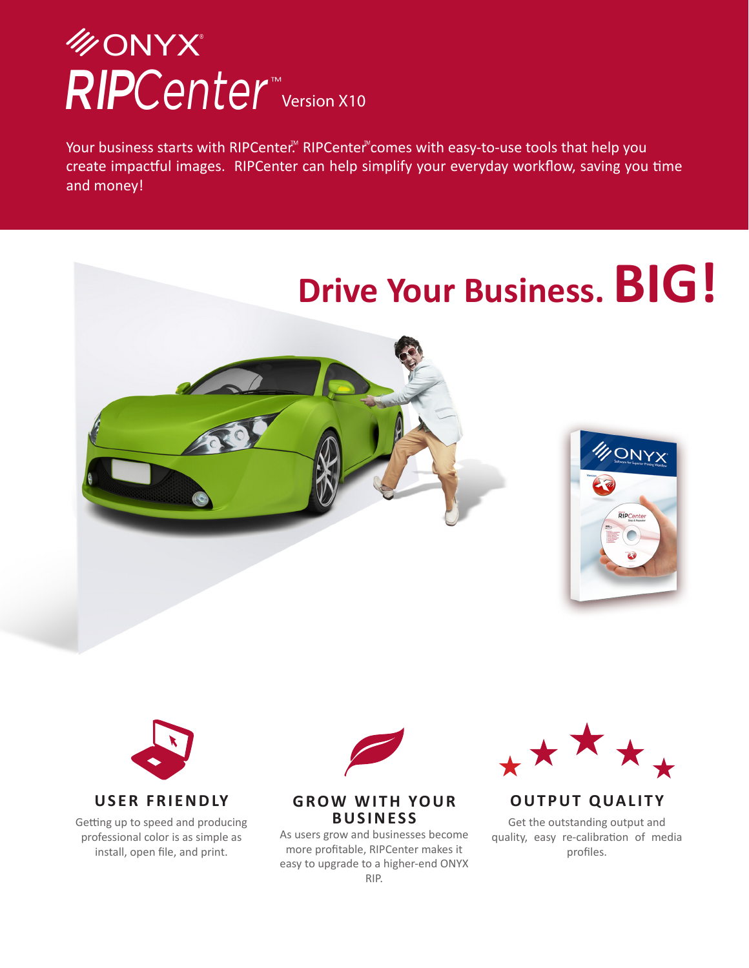# RIPCenter<sup>™</sup>version X10 **MONYX**

Your business starts with RIPCenter.<sup>M</sup> RIPCenter comes with easy-to-use tools that help you create impactful images. RIPCenter can help simplify your everyday workflow, saving you time and money!

# **Drive Your Business. BIG!** VONYX **RIPC**



Getting up to speed and producing professional color is as simple as install, open file, and print.



#### **GROW WITH YOUR BUSINESS**

As users grow and businesses become more profitable, RIPCenter makes it easy to upgrade to a higher-end ONYX RIP.



#### **OUTPUT QUALITY**

Get the outstanding output and quality, easy re-calibration of media profiles.